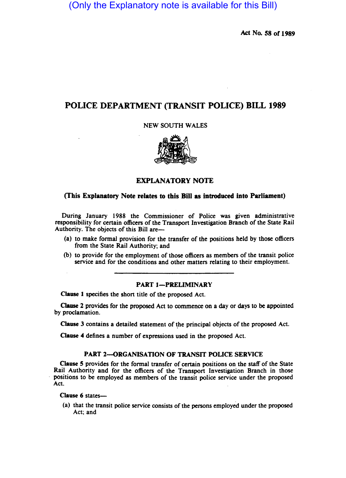(Only the Explanatory note is available for this Bill)

Act No. 58 of 1989

# POLICE DEPARTMENT (TRANSIT POLICE) BILL 1989

NEW SOUTH WALES



# EXPLANATORY NOTE

# (This Explanatory Note relates to this Bill as introduced into Parliament)

During January 1988 the Commissioner of Police was given administrative responsibility for certain officers of the Transport Investigation Branch of the State Rail Authority. The objects of this Bill are-

- (a) to make formal provision for the transfer of the positions held by those officers from the State Rail Authority; and
- (b) to provide for the employment of those officers as members of the transit police service and for the conditions and other matters relating to their employment.

#### PART 1-PRELIMINARY

Clause 1 specifies the short title of the proposed Act.

Clause 2 provides for the proposed Act to commence on a day or days to be appointed by proclamation.

Clause 3 contains a detailed statement of the principal objects of the proposed Act.

Clause 4 defines a number of expressions used in the proposed Act.

# PART 2-ORGANISATION OF TRANSIT POLICE SERVICE

Clause 5 provides for the formal transfer of certain positions on the staff of the State Rail Authority and for the officers of the Transport Investigation Branch in those positions to be employed as members of the transit police service under the proposed Act.

Clause 6 states-

(a) that the transit police service consists of the persons employed under the proposed Act; and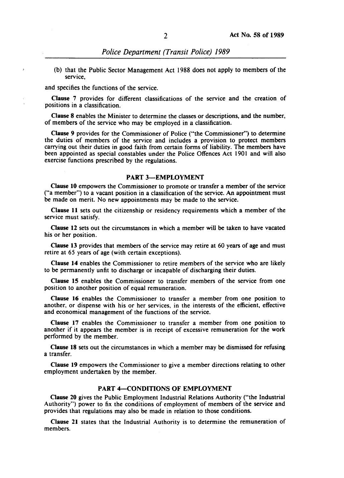(b) that the Public Sector Management Act 1988 does not apply to members of the service,

and specifies the functions of the service.

 $\overline{z}$ 

Clause 7 provides for different classifications of the service and the creation of positions in a classification.

Clause 8 enables the Minister to determine the classes or descriptions, and the number, of members of the service who may be employed in a classification.

Clause 9 provides for the Commissioner of Police ("the Commissioner") to determine the duties of members of the service and includes a provision to protect members carrying out their duties in good faith from certain forms of liability. The members have been appointed as special constables under the Police Offences Act 1901 and will also exercise functions prescribed by the regulations.

#### PART 3-EMPLOYMENT

Clause 10 empowers the Commissioner to promote or transfer a member of the service ("a member") to a vacant position in a classification of the service. An appointment must be made on merit. No new appointments may be made to the service.

Clause 11 sets out the citizenship or residency requirements which a member of the service must satisfy.

Clause 12 sets out the circumstances in which a member wiU be taken to have vacated his or her position.

Clause 13 provides that members of the service may retire at 60 years of age and must retire at 65 years of age (with certain exceptions).

Clause 14 enables the Commissioner to retire members of the service who are likely to be permanently unfit to discharge or incapable of discharging their duties.

Clause 15 enables the Commissioner to transfer members of the service from one position to another position of equal remuneration.

Clause 16 enables the Commissioner to transfer a member from one position to another, or dispense with his or her services, in the interests of the efficient, effective and economical management of the functions of the service.

Clause 17 enables the Commissioner to transfer a member from one position to another if it appears the member is in receipt of excessive remuneration for the work performed by the member.

Clause 18 sets out the circumstances in which a member may be dismissed for refusing a transfer.

Clause 19 empowers the Commissioner to give a member directions relating to other employment undertaken by the member.

# PART 4-CONDITIONS OF EMPLOYMENT

Clause 20 gives the Public Employment Industrial Relations Authority ("the Industrial Authority") power to fix the conditions of employment of members of the service and provides that regulations may also be made in relation to those conditions.

Clause 21 states that the Industrial Authority is to determine the remuneration of members.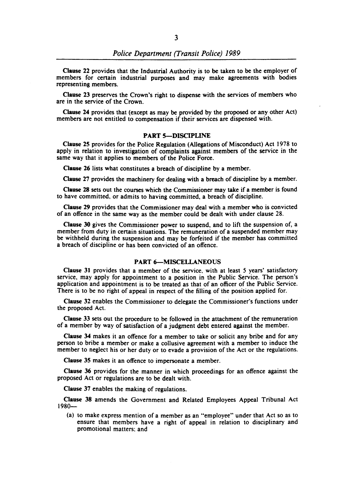Clause 22 provides that the Industrial Authority is to be taken to be the employer of members for certain industrial purposes and may make agreements with bodies representing members.

Clause 23 preserves the Crown's right to dispense with the services of members who are in the service of the Crown.

Clause 24 provides that (except as may be provided by the proposed or any other Act) members are not entitled to compensation if their services are dispensed with.

# PART 5-DISCIPLINE

Clause 25 provides for the Police Regulation (Allegations of Misconduct) Act 1978 to apply in relation to investigation of complaints against members of the service in the same way that it applies to members of the Police Force.

Clause 26 lists what constitutes a breach of discipline by a member.

Clause 27 provides the machinery for dealing with a breach of discipline by a member.

Clause 28 sets out the courses which the Commissioner may take if a member is found to have committed, or admits to having committed, a breach of discipline.

Clause 29 provides that the Commissioner may deal with a member who is convicted of an offence in the same way as the member could be dealt with under clause 28.

Clause 30 gives the Commissioner power to suspend, and to lift the suspension of, a member from duty in certain situations. The remuneration of a suspended member may be withheld during the suspension and may be forfeited if the member has committed a breach of discipline or has been convicted of an offence.

#### PART 6-MISCELLANEOUS

Clause 31 provides that a member of the service, with at least 5 years' satisfactory service, may apply for appointment to a position in the Public Service. The person's application and appointment is to be treated as that of an officer of the Public Service. There is to be no right of appeal in respect of the filling of the position applied for.

Clause 32 enables the Commissioner to delegate the Commissioner's functions under the proposed Act.

Clause 33 sets out the procedure to be followed in the attachment of the remuneration of a member by way of satisfaction of a judgment debt entered against the member.

Clause 34 makes it an offence for a member to take or solicit any bribe and for any person to bribe a member or make a collusive agreement with a member to induce the member to neglect his or her duty or to evade a provision of the Act or the regulations.

Clause 35 makes it an offence to impersonate a member.

Clause 36 provides for the manner in which proceedings for an offence against the proposed Act or regulations are to be dealt with.

Clause 37 enables the making of regulations.

Clause 38 amends the Government and Related Employees Appeal Tribunal Act  $1980-$ 

(a) to make express mention of a member as an "employee" under that Act so as to ensure that members have a right of appeal in relation to disciplinary and promotional matters: and